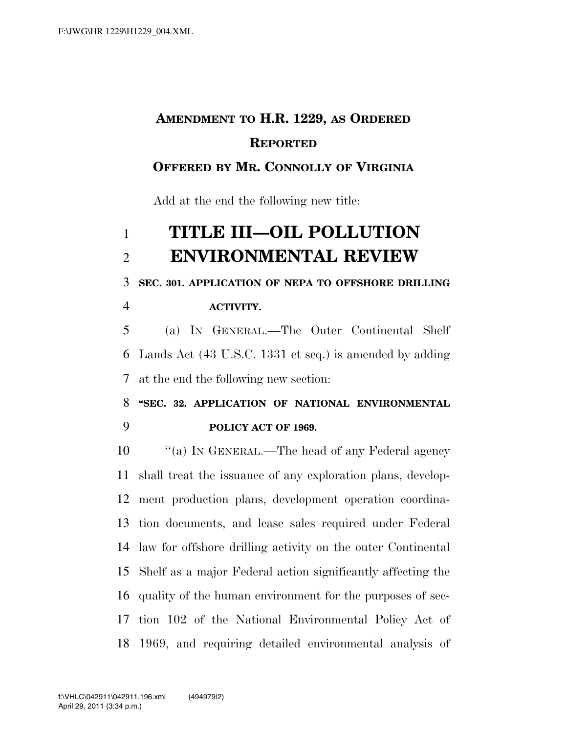## **AMENDMENT TO H.R. 1229, AS ORDERED REPORTED**

## **OFFERED BY MR. CONNOLLY OF VIRGINIA**

Add at the end the following new title:

## **TITLE III—OIL POLLUTION ENVIRONMENTAL REVIEW**

**SEC. 301. APPLICATION OF NEPA TO OFFSHORE DRILLING** 

**ACTIVITY.** 

 (a) IN GENERAL.—The Outer Continental Shelf Lands Act (43 U.S.C. 1331 et seq.) is amended by adding at the end the following new section:

 **''SEC. 32. APPLICATION OF NATIONAL ENVIRONMENTAL POLICY ACT OF 1969.** 

10 "(a) IN GENERAL.—The head of any Federal agency shall treat the issuance of any exploration plans, develop- ment production plans, development operation coordina- tion documents, and lease sales required under Federal law for offshore drilling activity on the outer Continental Shelf as a major Federal action significantly affecting the quality of the human environment for the purposes of sec- tion 102 of the National Environmental Policy Act of 1969, and requiring detailed environmental analysis of